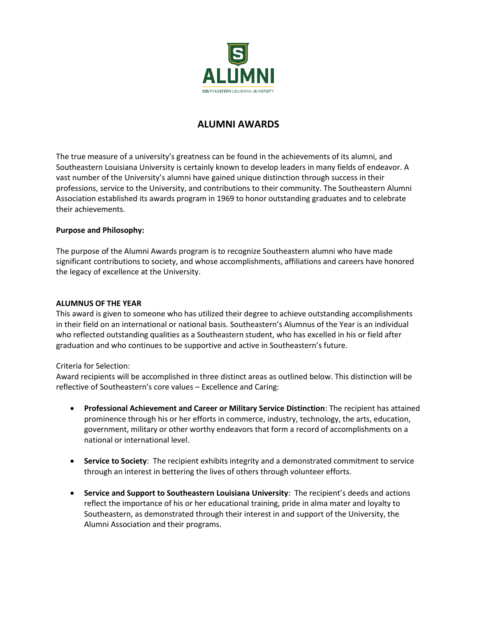

# **ALUMNI AWARDS**

The true measure of a university's greatness can be found in the achievements of its alumni, and Southeastern Louisiana University is certainly known to develop leaders in many fields of endeavor. A vast number of the University's alumni have gained unique distinction through success in their professions, service to the University, and contributions to their community. The Southeastern Alumni Association established its awards program in 1969 to honor outstanding graduates and to celebrate their achievements.

# **Purpose and Philosophy:**

The purpose of the Alumni Awards program is to recognize Southeastern alumni who have made significant contributions to society, and whose accomplishments, affiliations and careers have honored the legacy of excellence at the University.

#### **ALUMNUS OF THE YEAR**

This award is given to someone who has utilized their degree to achieve outstanding accomplishments in their field on an international or national basis. Southeastern's Alumnus of the Year is an individual who reflected outstanding qualities as a Southeastern student, who has excelled in his or field after graduation and who continues to be supportive and active in Southeastern's future.

# Criteria for Selection:

Award recipients will be accomplished in three distinct areas as outlined below. This distinction will be reflective of Southeastern's core values – Excellence and Caring:

- **Professional Achievement and Career or Military Service Distinction**: The recipient has attained prominence through his or her efforts in commerce, industry, technology, the arts, education, government, military or other worthy endeavors that form a record of accomplishments on a national or international level.
- **Service to Society**: The recipient exhibits integrity and a demonstrated commitment to service through an interest in bettering the lives of others through volunteer efforts.
- **Service and Support to Southeastern Louisiana University**: The recipient's deeds and actions reflect the importance of his or her educational training, pride in alma mater and loyalty to Southeastern, as demonstrated through their interest in and support of the University, the Alumni Association and their programs.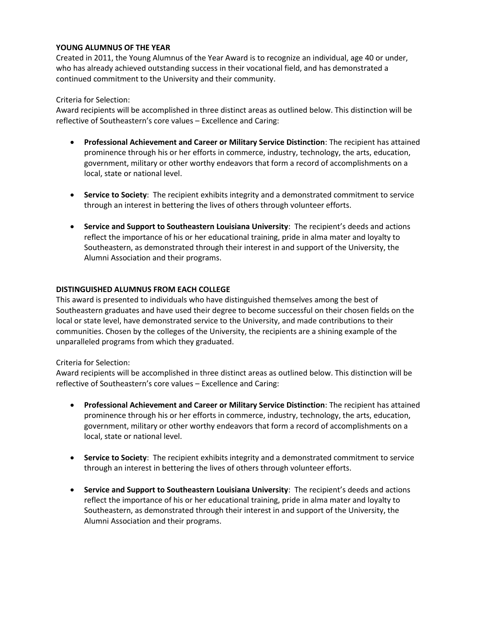# **YOUNG ALUMNUS OF THE YEAR**

Created in 2011, the Young Alumnus of the Year Award is to recognize an individual, age 40 or under, who has already achieved outstanding success in their vocational field, and has demonstrated a continued commitment to the University and their community.

### Criteria for Selection:

Award recipients will be accomplished in three distinct areas as outlined below. This distinction will be reflective of Southeastern's core values – Excellence and Caring:

- **Professional Achievement and Career or Military Service Distinction**: The recipient has attained prominence through his or her efforts in commerce, industry, technology, the arts, education, government, military or other worthy endeavors that form a record of accomplishments on a local, state or national level.
- **Service to Society**: The recipient exhibits integrity and a demonstrated commitment to service through an interest in bettering the lives of others through volunteer efforts.
- **Service and Support to Southeastern Louisiana University**: The recipient's deeds and actions reflect the importance of his or her educational training, pride in alma mater and loyalty to Southeastern, as demonstrated through their interest in and support of the University, the Alumni Association and their programs.

#### **DISTINGUISHED ALUMNUS FROM EACH COLLEGE**

This award is presented to individuals who have distinguished themselves among the best of Southeastern graduates and have used their degree to become successful on their chosen fields on the local or state level, have demonstrated service to the University, and made contributions to their communities. Chosen by the colleges of the University, the recipients are a shining example of the unparalleled programs from which they graduated.

#### Criteria for Selection:

Award recipients will be accomplished in three distinct areas as outlined below. This distinction will be reflective of Southeastern's core values – Excellence and Caring:

- **Professional Achievement and Career or Military Service Distinction**: The recipient has attained prominence through his or her efforts in commerce, industry, technology, the arts, education, government, military or other worthy endeavors that form a record of accomplishments on a local, state or national level.
- **Service to Society**: The recipient exhibits integrity and a demonstrated commitment to service through an interest in bettering the lives of others through volunteer efforts.
- **Service and Support to Southeastern Louisiana University**: The recipient's deeds and actions reflect the importance of his or her educational training, pride in alma mater and loyalty to Southeastern, as demonstrated through their interest in and support of the University, the Alumni Association and their programs.